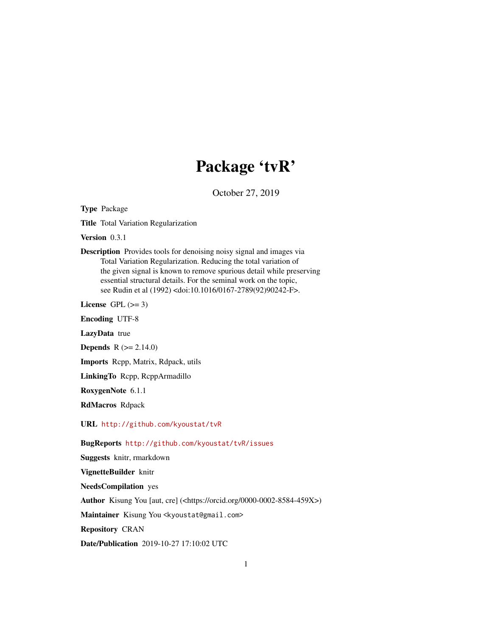## Package 'tvR'

October 27, 2019

Type Package

Title Total Variation Regularization

Version 0.3.1

Description Provides tools for denoising noisy signal and images via Total Variation Regularization. Reducing the total variation of the given signal is known to remove spurious detail while preserving essential structural details. For the seminal work on the topic, see Rudin et al (1992) <doi:10.1016/0167-2789(92)90242-F>.

License GPL  $(>= 3)$ 

Encoding UTF-8

LazyData true

**Depends**  $R (= 2.14.0)$ 

Imports Rcpp, Matrix, Rdpack, utils

LinkingTo Rcpp, RcppArmadillo

RoxygenNote 6.1.1

RdMacros Rdpack

URL <http://github.com/kyoustat/tvR>

BugReports <http://github.com/kyoustat/tvR/issues>

Suggests knitr, rmarkdown

VignetteBuilder knitr

NeedsCompilation yes

Author Kisung You [aut, cre] (<https://orcid.org/0000-0002-8584-459X>)

Maintainer Kisung You <kyoustat@gmail.com>

Repository CRAN

Date/Publication 2019-10-27 17:10:02 UTC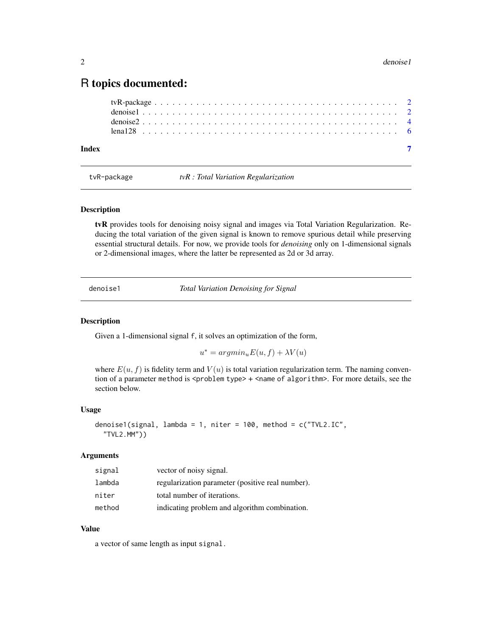### <span id="page-1-0"></span>R topics documented:

| Index |  |  |  |  |  |  |  |  |  |  |  |  |  |  |  |  |  |  |  |  |  |
|-------|--|--|--|--|--|--|--|--|--|--|--|--|--|--|--|--|--|--|--|--|--|

tvR-package *tvR : Total Variation Regularization*

#### Description

tvR provides tools for denoising noisy signal and images via Total Variation Regularization. Reducing the total variation of the given signal is known to remove spurious detail while preserving essential structural details. For now, we provide tools for *denoising* only on 1-dimensional signals or 2-dimensional images, where the latter be represented as 2d or 3d array.

denoise1 *Total Variation Denoising for Signal*

#### Description

Given a 1-dimensional signal f, it solves an optimization of the form,

 $u^* = argmin_u E(u, f) + \lambda V(u)$ 

where  $E(u, f)$  is fidelity term and  $V(u)$  is total variation regularization term. The naming convention of a parameter method is <problem type> + <name of algorithm>. For more details, see the section below.

#### Usage

denoise1(signal, lambda = 1, niter = 100, method =  $c("TVL2.IC",$ "TVL2.MM"))

#### Arguments

| signal | vector of noisy signal.                          |
|--------|--------------------------------------------------|
| lambda | regularization parameter (positive real number). |
| niter  | total number of iterations.                      |
| method | indicating problem and algorithm combination.    |

#### Value

a vector of same length as input signal.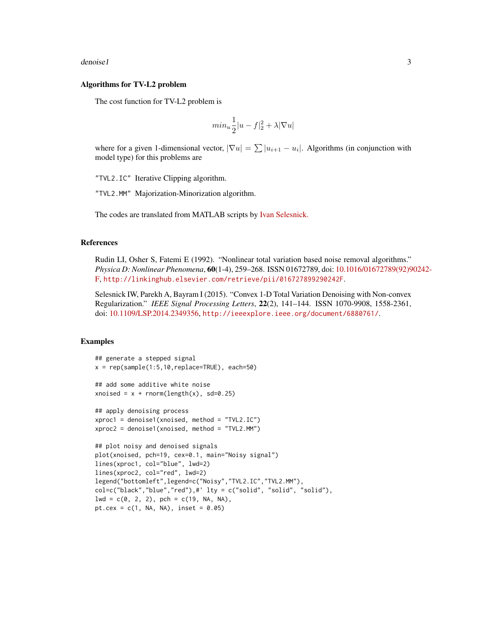#### denoise1 3

#### Algorithms for TV-L2 problem

The cost function for TV-L2 problem is

$$
min_{u} \frac{1}{2}|u - f|_{2}^{2} + \lambda |\nabla u|
$$

where for a given 1-dimensional vector,  $|\nabla u| = \sum |u_{i+1} - u_i|$ . Algorithms (in conjunction with model type) for this problems are

"TVL2.IC" Iterative Clipping algorithm.

"TVL2.MM" Majorization-Minorization algorithm.

The codes are translated from MATLAB scripts by [Ivan Selesnick.](http://eeweb.poly.edu/iselesni/)

#### References

Rudin LI, Osher S, Fatemi E (1992). "Nonlinear total variation based noise removal algorithms." *Physica D: Nonlinear Phenomena*, 60(1-4), 259–268. ISSN 01672789, doi: [10.1016/01672789\(92\)9](https://doi.org/10.1016/0167-2789(92)90242-F)0242- [F,](https://doi.org/10.1016/0167-2789(92)90242-F) <http://linkinghub.elsevier.com/retrieve/pii/016727899290242F>.

Selesnick IW, Parekh A, Bayram I (2015). "Convex 1-D Total Variation Denoising with Non-convex Regularization." *IEEE Signal Processing Letters*, 22(2), 141–144. ISSN 1070-9908, 1558-2361, doi: [10.1109/LSP.2014.2349356,](https://doi.org/10.1109/LSP.2014.2349356) <http://ieeexplore.ieee.org/document/6880761/>.

#### Examples

```
## generate a stepped signal
x = rep(sample(1:5,10,replace=TRUE), each=50)
## add some additive white noise
xnoised = x + \text{norm}(\text{length}(x), \text{ sd=0.25})## apply denoising process
xproc1 = denoise1(xnoised, method = "TVL2.IC")
xproc2 = denoise1(xnoised, method = "TVL2.MM")
## plot noisy and denoised signals
plot(xnoised, pch=19, cex=0.1, main="Noisy signal")
lines(xproc1, col="blue", lwd=2)
lines(xproc2, col="red", lwd=2)
legend("bottomleft",legend=c("Noisy","TVL2.IC","TVL2.MM"),
col=c("black","blue","red"),#' lty = c("solid", "solid", "solid"),
lwd = c(0, 2, 2), pch = c(19, NA, NA),pt.cex = c(1, NA, NA), inset = 0.05)
```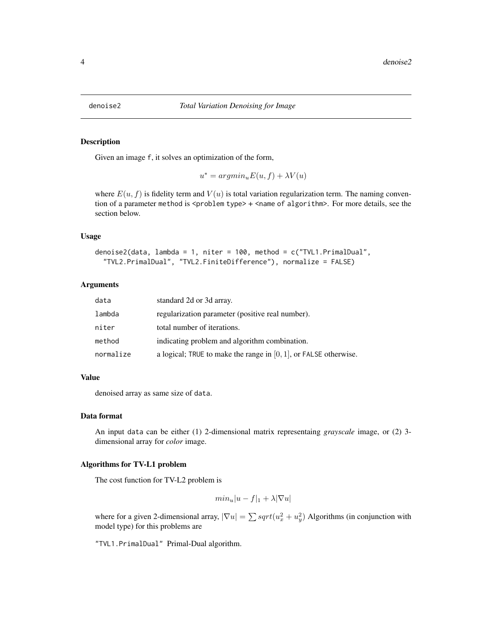<span id="page-3-0"></span>

#### Description

Given an image f, it solves an optimization of the form,

 $u^* = argmin_u E(u, f) + \lambda V(u)$ 

where  $E(u, f)$  is fidelity term and  $V(u)$  is total variation regularization term. The naming convention of a parameter method is <problem type> + <name of algorithm>. For more details, see the section below.

#### Usage

```
denoise2(data, lambda = 1, niter = 100, method = c("TVL1.PrimalDual",
  "TVL2.PrimalDual", "TVL2.FiniteDifference"), normalize = FALSE)
```
#### Arguments

| data      | standard 2d or 3d array.                                            |
|-----------|---------------------------------------------------------------------|
| lambda    | regularization parameter (positive real number).                    |
| niter     | total number of iterations.                                         |
| method    | indicating problem and algorithm combination.                       |
| normalize | a logical; TRUE to make the range in $[0, 1]$ , or FALSE otherwise. |

#### Value

denoised array as same size of data.

#### Data format

An input data can be either (1) 2-dimensional matrix representaing *grayscale* image, or (2) 3 dimensional array for *color* image.

#### Algorithms for TV-L1 problem

The cost function for TV-L2 problem is

$$
min_{u} |u - f|_1 + \lambda |\nabla u|
$$

where for a given 2-dimensional array,  $|\nabla u| = \sum sqrt(u_x^2 + u_y^2)$  Algorithms (in conjunction with model type) for this problems are

"TVL1.PrimalDual" Primal-Dual algorithm.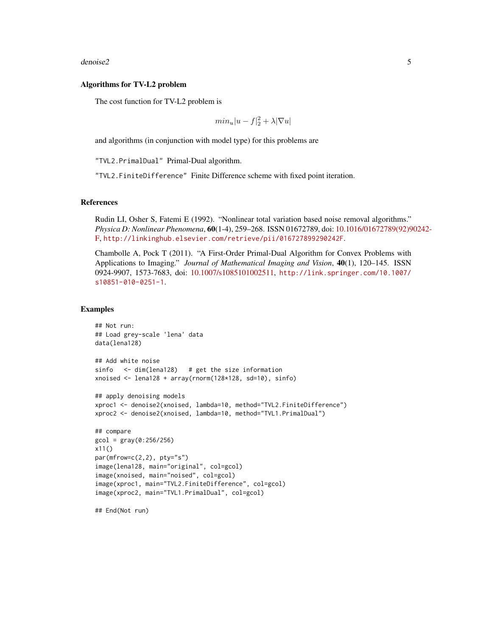denoise2 5

#### Algorithms for TV-L2 problem

The cost function for TV-L2 problem is

$$
min_{u}|u-f|_{2}^{2}+\lambda|\nabla u|
$$

and algorithms (in conjunction with model type) for this problems are

"TVL2.PrimalDual" Primal-Dual algorithm.

"TVL2.FiniteDifference" Finite Difference scheme with fixed point iteration.

#### References

Rudin LI, Osher S, Fatemi E (1992). "Nonlinear total variation based noise removal algorithms." *Physica D: Nonlinear Phenomena*, 60(1-4), 259–268. ISSN 01672789, doi: [10.1016/01672789\(92\)9](https://doi.org/10.1016/0167-2789(92)90242-F)0242- [F,](https://doi.org/10.1016/0167-2789(92)90242-F) <http://linkinghub.elsevier.com/retrieve/pii/016727899290242F>.

Chambolle A, Pock T (2011). "A First-Order Primal-Dual Algorithm for Convex Problems with Applications to Imaging." *Journal of Mathematical Imaging and Vision*, 40(1), 120–145. ISSN 0924-9907, 1573-7683, doi: [10.1007/s1085101002511,](https://doi.org/10.1007/s10851-010-0251-1) [http://link.springer.com/10.1007/](http://link.springer.com/10.1007/s10851-010-0251-1) [s10851-010-0251-1](http://link.springer.com/10.1007/s10851-010-0251-1).

#### Examples

```
## Not run:
## Load grey-scale 'lena' data
data(lena128)
## Add white noise
sinfo <- dim(lena128) # get the size information
xnoised \le lena128 + array(rnorm(128*128, sd=10), sinfo)
## apply denoising models
xproc1 <- denoise2(xnoised, lambda=10, method="TVL2.FiniteDifference")
xproc2 <- denoise2(xnoised, lambda=10, method="TVL1.PrimalDual")
## compare
gcd = gray(0:256/256)x11()
par(mfrow=c(2,2), pty="s")
image(lena128, main="original", col=gcol)
image(xnoised, main="noised", col=gcol)
image(xproc1, main="TVL2.FiniteDifference", col=gcol)
image(xproc2, main="TVL1.PrimalDual", col=gcol)
```
## End(Not run)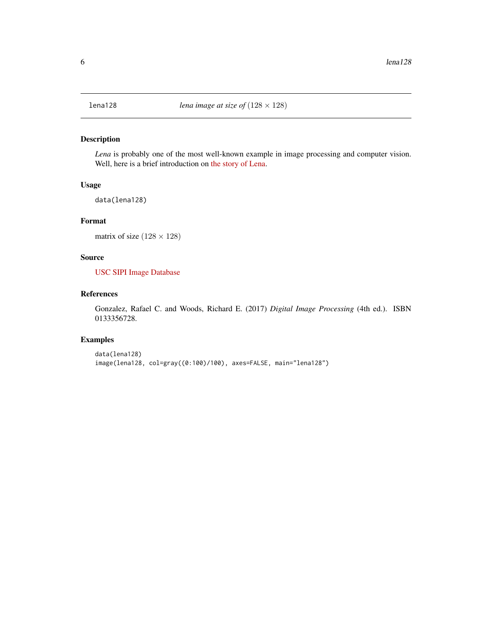<span id="page-5-0"></span>

#### Description

*Lena* is probably one of the most well-known example in image processing and computer vision. Well, here is a brief introduction on [the story of Lena.](http://www.lenna.org/)

#### Usage

data(lena128)

#### Format

matrix of size  $(128 \times 128)$ 

#### Source

[USC SIPI Image Database](http://sipi.usc.edu/database/?volume=misc)

#### References

Gonzalez, Rafael C. and Woods, Richard E. (2017) *Digital Image Processing* (4th ed.). ISBN 0133356728.

#### Examples

data(lena128) image(lena128, col=gray((0:100)/100), axes=FALSE, main="lena128")